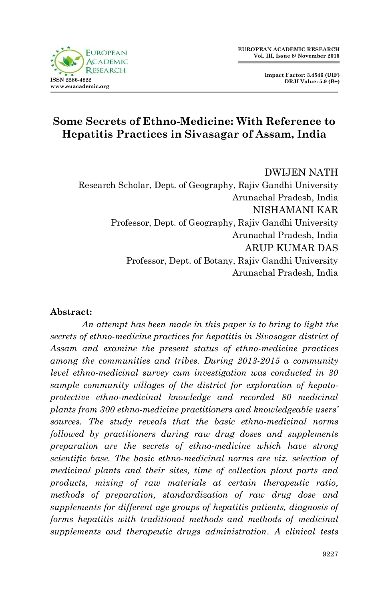



# **Some Secrets of Ethno-Medicine: With Reference to Hepatitis Practices in Sivasagar of Assam, India**

#### DWIJEN NATH

Research Scholar, Dept. of Geography, Rajiv Gandhi University Arunachal Pradesh, India NISHAMANI KAR Professor, Dept. of Geography, Rajiv Gandhi University Arunachal Pradesh, India ARUP KUMAR DAS Professor, Dept. of Botany, Rajiv Gandhi University Arunachal Pradesh, India

#### **Abstract:**

*An attempt has been made in this paper is to bring to light the secrets of ethno-medicine practices for hepatitis in Sivasagar district of Assam and examine the present status of ethno-medicine practices among the communities and tribes. During 2013-2015 a community level ethno-medicinal survey cum investigation was conducted in 30 sample community villages of the district for exploration of hepatoprotective ethno-medicinal knowledge and recorded 80 medicinal plants from 300 ethno-medicine practitioners and knowledgeable users' sources. The study reveals that the basic ethno-medicinal norms followed by practitioners during raw drug doses and supplements preparation are the secrets of ethno-medicine which have strong scientific base. The basic ethno-medicinal norms are viz. selection of medicinal plants and their sites, time of collection plant parts and products, mixing of raw materials at certain therapeutic ratio, methods of preparation, standardization of raw drug dose and supplements for different age groups of hepatitis patients, diagnosis of forms hepatitis with traditional methods and methods of medicinal supplements and therapeutic drugs administration. A clinical tests*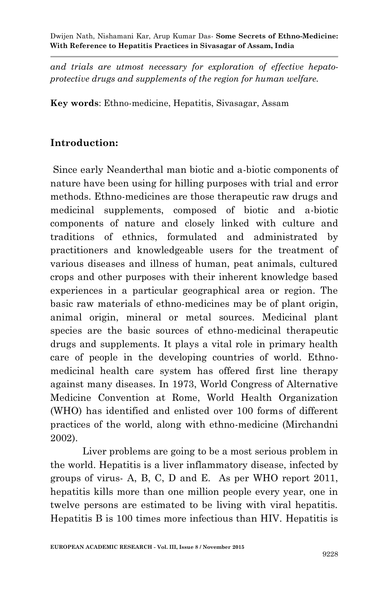*and trials are utmost necessary for exploration of effective hepatoprotective drugs and supplements of the region for human welfare.* 

**Key words**: Ethno-medicine, Hepatitis, Sivasagar, Assam

### **Introduction:**

Since early Neanderthal man biotic and a-biotic components of nature have been using for hilling purposes with trial and error methods. Ethno-medicines are those therapeutic raw drugs and medicinal supplements, composed of biotic and a-biotic components of nature and closely linked with culture and traditions of ethnics, formulated and administrated by practitioners and knowledgeable users for the treatment of various diseases and illness of human, peat animals, cultured crops and other purposes with their inherent knowledge based experiences in a particular geographical area or region. The basic raw materials of ethno-medicines may be of plant origin, animal origin, mineral or metal sources. Medicinal plant species are the basic sources of ethno-medicinal therapeutic drugs and supplements. It plays a vital role in primary health care of people in the developing countries of world. Ethnomedicinal health care system has offered first line therapy against many diseases. In 1973, World Congress of Alternative Medicine Convention at Rome, World Health Organization (WHO) has identified and enlisted over 100 forms of different practices of the world, along with ethno-medicine (Mirchandni 2002).

 Liver problems are going to be a most serious problem in the world. Hepatitis is a liver inflammatory disease, infected by groups of virus- A, B, C, D and E. As per WHO report 2011, hepatitis kills more than one million people every year, one in twelve persons are estimated to be living with viral hepatitis. Hepatitis B is 100 times more infectious than HIV. Hepatitis is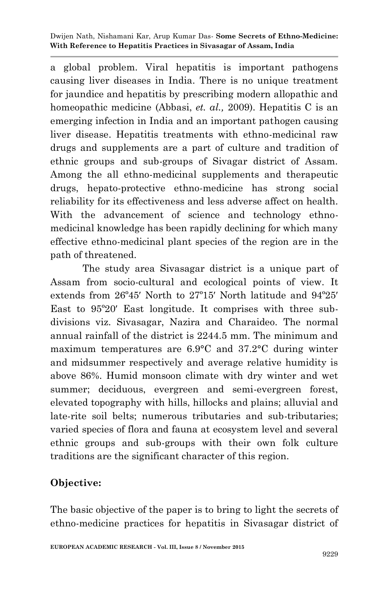a global problem. Viral hepatitis is important pathogens causing liver diseases in India. There is no unique treatment for jaundice and hepatitis by prescribing modern allopathic and homeopathic medicine (Abbasi, *et. al.,* 2009). Hepatitis C is an emerging infection in India and an important pathogen causing liver disease. Hepatitis treatments with ethno-medicinal raw drugs and supplements are a part of culture and tradition of ethnic groups and sub-groups of Sivagar district of Assam. Among the all ethno-medicinal supplements and therapeutic drugs, hepato-protective ethno-medicine has strong social reliability for its effectiveness and less adverse affect on health. With the advancement of science and technology ethnomedicinal knowledge has been rapidly declining for which many effective ethno-medicinal plant species of the region are in the path of threatened.

 The study area Sivasagar district is a unique part of Assam from socio-cultural and ecological points of view. It extends from 26º45′ North to 27º15′ North latitude and 94º25′ East to 95º20′ East longitude. It comprises with three subdivisions viz. Sivasagar, Nazira and Charaideo. The normal annual rainfall of the district is 2244.5 mm. The minimum and maximum temperatures are 6.9°C and 37.2°C during winter and midsummer respectively and average relative humidity is above 86%. Humid monsoon climate with dry winter and wet summer; deciduous, evergreen and semi-evergreen forest, elevated topography with hills, hillocks and plains; alluvial and late-rite soil belts; numerous tributaries and sub-tributaries; varied species of flora and fauna at ecosystem level and several ethnic groups and sub-groups with their own folk culture traditions are the significant character of this region.

## **Objective:**

The basic objective of the paper is to bring to light the secrets of ethno-medicine practices for hepatitis in Sivasagar district of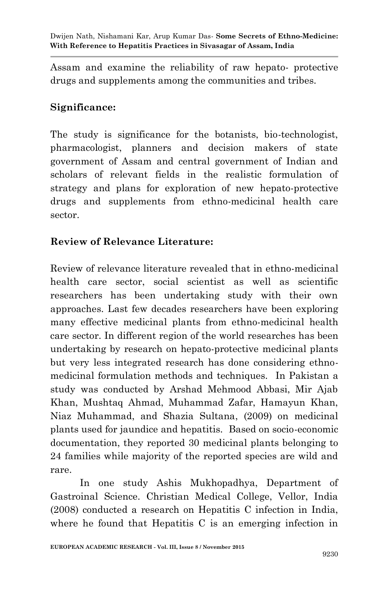Assam and examine the reliability of raw hepato- protective drugs and supplements among the communities and tribes.

## **Significance:**

The study is significance for the botanists, bio-technologist, pharmacologist, planners and decision makers of state government of Assam and central government of Indian and scholars of relevant fields in the realistic formulation of strategy and plans for exploration of new hepato-protective drugs and supplements from ethno-medicinal health care sector.

### **Review of Relevance Literature:**

Review of relevance literature revealed that in ethno-medicinal health care sector, social scientist as well as scientific researchers has been undertaking study with their own approaches. Last few decades researchers have been exploring many effective medicinal plants from ethno-medicinal health care sector. In different region of the world researches has been undertaking by research on hepato-protective medicinal plants but very less integrated research has done considering ethnomedicinal formulation methods and techniques. In Pakistan a study was conducted by Arshad Mehmood Abbasi, Mir Ajab Khan, Mushtaq Ahmad, Muhammad Zafar, Hamayun Khan, Niaz Muhammad, and Shazia Sultana, (2009) on medicinal plants used for jaundice and hepatitis. Based on socio-economic documentation, they reported 30 medicinal plants belonging to 24 families while majority of the reported species are wild and rare.

 In one study Ashis Mukhopadhya, Department of Gastroinal Science. Christian Medical College, Vellor, India (2008) conducted a research on Hepatitis C infection in India, where he found that Hepatitis C is an emerging infection in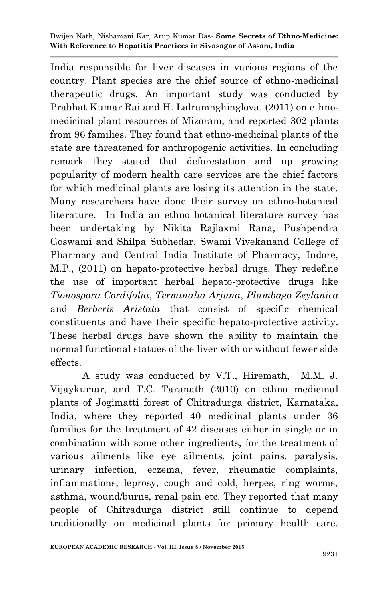India responsible for liver diseases in various regions of the country. Plant species are the chief source of ethno-medicinal therapeutic drugs. An important study was conducted by Prabhat Kumar Rai and H. Lalramnghinglova, (2011) on ethnomedicinal plant resources of Mizoram, and reported 302 plants from 96 families. They found that ethno-medicinal plants of the state are threatened for anthropogenic activities. In concluding remark they stated that deforestation and up growing popularity of modern health care services are the chief factors for which medicinal plants are losing its attention in the state. Many researchers have done their survey on ethno-botanical literature. In India an ethno botanical literature survey has been undertaking by Nikita Rajlaxmi Rana, Pushpendra Goswami and Shilpa Subhedar, Swami Vivekanand College of Pharmacy and Central India Institute of Pharmacy, Indore, M.P., (2011) on hepato-protective herbal drugs. They redefine the use of important herbal hepato-protective drugs like *Tionospora Cordifolia*, *Terminalia Arjuna*, *Plumbago Zeylanica* and *Berberis Aristata* that consist of specific chemical constituents and have their specific hepato-protective activity. These herbal drugs have shown the ability to maintain the normal functional statues of the liver with or without fewer side effects.

 A study was conducted by V.T., Hiremath, M.M. J. Vijaykumar, and T.C. Taranath (2010) on ethno medicinal plants of Jogimatti forest of Chitradurga district, Karnataka, India, where they reported 40 medicinal plants under 36 families for the treatment of 42 diseases either in single or in combination with some other ingredients, for the treatment of various ailments like eye ailments, joint pains, paralysis, urinary infection, eczema, fever, rheumatic complaints, inflammations, leprosy, cough and cold, herpes, ring worms, asthma, wound/burns, renal pain etc. They reported that many people of Chitradurga district still continue to depend traditionally on medicinal plants for primary health care.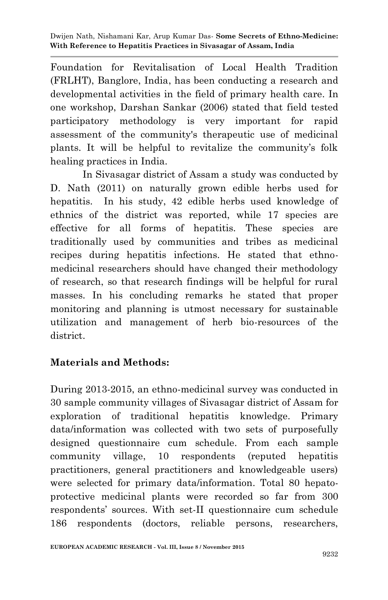Foundation for Revitalisation of Local Health Tradition (FRLHT), Banglore, India, has been conducting a research and developmental activities in the field of primary health care. In one workshop, Darshan Sankar (2006) stated that field tested participatory methodology is very important for rapid assessment of the community's therapeutic use of medicinal plants. It will be helpful to revitalize the community's folk healing practices in India.

 In Sivasagar district of Assam a study was conducted by D. Nath (2011) on naturally grown edible herbs used for hepatitis. In his study, 42 edible herbs used knowledge of ethnics of the district was reported, while 17 species are effective for all forms of hepatitis. These species are traditionally used by communities and tribes as medicinal recipes during hepatitis infections. He stated that ethnomedicinal researchers should have changed their methodology of research, so that research findings will be helpful for rural masses. In his concluding remarks he stated that proper monitoring and planning is utmost necessary for sustainable utilization and management of herb bio-resources of the district.

# **Materials and Methods:**

During 2013-2015, an ethno-medicinal survey was conducted in 30 sample community villages of Sivasagar district of Assam for exploration of traditional hepatitis knowledge. Primary data/information was collected with two sets of purposefully designed questionnaire cum schedule. From each sample community village, 10 respondents (reputed hepatitis practitioners, general practitioners and knowledgeable users) were selected for primary data/information. Total 80 hepatoprotective medicinal plants were recorded so far from 300 respondents' sources. With set-II questionnaire cum schedule 186 respondents (doctors, reliable persons, researchers,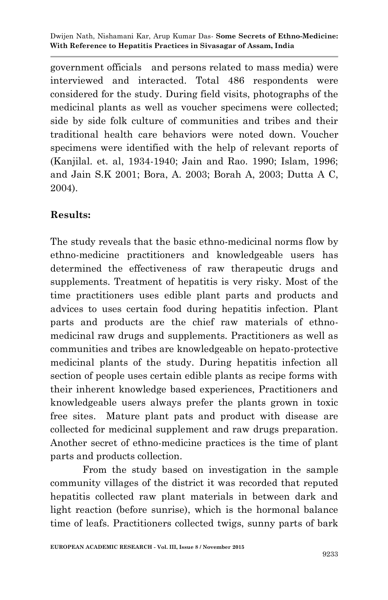government officials and persons related to mass media) were interviewed and interacted. Total 486 respondents were considered for the study. During field visits, photographs of the medicinal plants as well as voucher specimens were collected; side by side folk culture of communities and tribes and their traditional health care behaviors were noted down. Voucher specimens were identified with the help of relevant reports of (Kanjilal. et. al, 1934-1940; Jain and Rao. 1990; Islam, 1996; and Jain S.K 2001; Bora, A. 2003; Borah A, 2003; Dutta A C, 2004).

### **Results:**

The study reveals that the basic ethno-medicinal norms flow by ethno-medicine practitioners and knowledgeable users has determined the effectiveness of raw therapeutic drugs and supplements. Treatment of hepatitis is very risky. Most of the time practitioners uses edible plant parts and products and advices to uses certain food during hepatitis infection. Plant parts and products are the chief raw materials of ethnomedicinal raw drugs and supplements. Practitioners as well as communities and tribes are knowledgeable on hepato-protective medicinal plants of the study. During hepatitis infection all section of people uses certain edible plants as recipe forms with their inherent knowledge based experiences, Practitioners and knowledgeable users always prefer the plants grown in toxic free sites. Mature plant pats and product with disease are collected for medicinal supplement and raw drugs preparation. Another secret of ethno-medicine practices is the time of plant parts and products collection.

 From the study based on investigation in the sample community villages of the district it was recorded that reputed hepatitis collected raw plant materials in between dark and light reaction (before sunrise), which is the hormonal balance time of leafs. Practitioners collected twigs, sunny parts of bark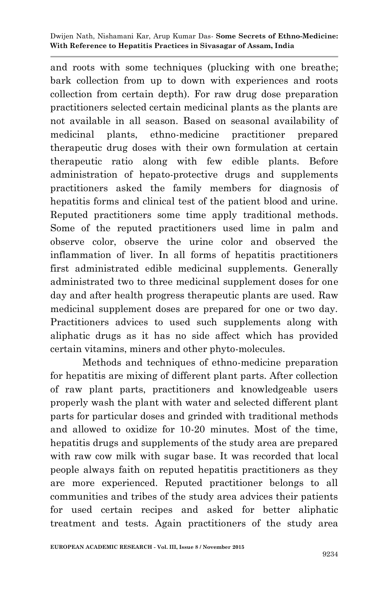and roots with some techniques (plucking with one breathe; bark collection from up to down with experiences and roots collection from certain depth). For raw drug dose preparation practitioners selected certain medicinal plants as the plants are not available in all season. Based on seasonal availability of medicinal plants, ethno-medicine practitioner prepared therapeutic drug doses with their own formulation at certain therapeutic ratio along with few edible plants. Before administration of hepato-protective drugs and supplements practitioners asked the family members for diagnosis of hepatitis forms and clinical test of the patient blood and urine. Reputed practitioners some time apply traditional methods. Some of the reputed practitioners used lime in palm and observe color, observe the urine color and observed the inflammation of liver. In all forms of hepatitis practitioners first administrated edible medicinal supplements. Generally administrated two to three medicinal supplement doses for one day and after health progress therapeutic plants are used. Raw medicinal supplement doses are prepared for one or two day. Practitioners advices to used such supplements along with aliphatic drugs as it has no side affect which has provided certain vitamins, miners and other phyto-molecules.

 Methods and techniques of ethno-medicine preparation for hepatitis are mixing of different plant parts. After collection of raw plant parts, practitioners and knowledgeable users properly wash the plant with water and selected different plant parts for particular doses and grinded with traditional methods and allowed to oxidize for 10-20 minutes. Most of the time, hepatitis drugs and supplements of the study area are prepared with raw cow milk with sugar base. It was recorded that local people always faith on reputed hepatitis practitioners as they are more experienced. Reputed practitioner belongs to all communities and tribes of the study area advices their patients for used certain recipes and asked for better aliphatic treatment and tests. Again practitioners of the study area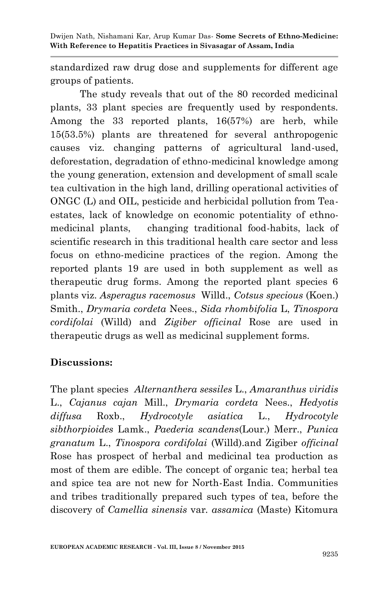standardized raw drug dose and supplements for different age groups of patients.

 The study reveals that out of the 80 recorded medicinal plants, 33 plant species are frequently used by respondents. Among the 33 reported plants, 16(57%) are herb, while 15(53.5%) plants are threatened for several anthropogenic causes viz. changing patterns of agricultural land-used, deforestation, degradation of ethno-medicinal knowledge among the young generation, extension and development of small scale tea cultivation in the high land, drilling operational activities of ONGC (L) and OIL, pesticide and herbicidal pollution from Teaestates, lack of knowledge on economic potentiality of ethnomedicinal plants, changing traditional food-habits, lack of scientific research in this traditional health care sector and less focus on ethno-medicine practices of the region. Among the reported plants 19 are used in both supplement as well as therapeutic drug forms. Among the reported plant species 6 plants viz. *Asperagus racemosus* Willd., *Cotsus specious* (Koen.) Smith., *Drymaria cordeta* Nees., *Sida rhombifolia* L, *Tinospora cordifolai* (Willd) and *Zigiber officinal* Rose are used in therapeutic drugs as well as medicinal supplement forms.

## **Discussions:**

The plant species *Alternanthera sessiles* L., *Amaranthus viridis* L., *Cajanus cajan* Mill., *Drymaria cordeta* Nees., *Hedyotis diffusa* Roxb., *Hydrocotyle asiatica* L., *Hydrocotyle sibthorpioides* Lamk., *Paederia scandens*(Lour.) Merr., *Punica granatum* L., *Tinospora cordifolai* (Willd).and Zigiber *officinal* Rose has prospect of herbal and medicinal tea production as most of them are edible. The concept of organic tea; herbal tea and spice tea are not new for North-East India. Communities and tribes traditionally prepared such types of tea, before the discovery of *Camellia sinensis* var*. assamica* (Maste) Kitomura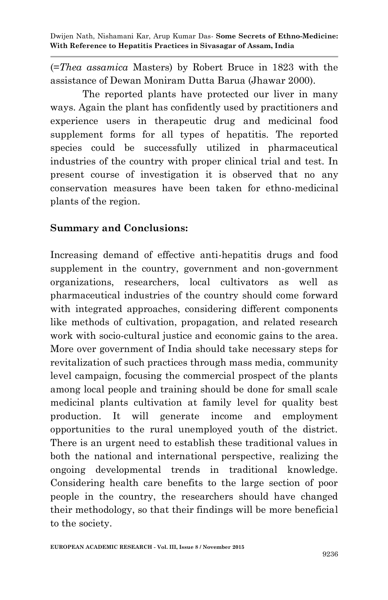(=*Thea assamica* Masters) by Robert Bruce in 1823 with the assistance of Dewan Moniram Dutta Barua (Jhawar 2000).

 The reported plants have protected our liver in many ways. Again the plant has confidently used by practitioners and experience users in therapeutic drug and medicinal food supplement forms for all types of hepatitis. The reported species could be successfully utilized in pharmaceutical industries of the country with proper clinical trial and test. In present course of investigation it is observed that no any conservation measures have been taken for ethno-medicinal plants of the region.

#### **Summary and Conclusions:**

Increasing demand of effective anti-hepatitis drugs and food supplement in the country, government and non-government organizations, researchers, local cultivators as well as pharmaceutical industries of the country should come forward with integrated approaches, considering different components like methods of cultivation, propagation, and related research work with socio-cultural justice and economic gains to the area. More over government of India should take necessary steps for revitalization of such practices through mass media, community level campaign, focusing the commercial prospect of the plants among local people and training should be done for small scale medicinal plants cultivation at family level for quality best production. It will generate income and employment opportunities to the rural unemployed youth of the district. There is an urgent need to establish these traditional values in both the national and international perspective, realizing the ongoing developmental trends in traditional knowledge. Considering health care benefits to the large section of poor people in the country, the researchers should have changed their methodology, so that their findings will be more beneficial to the society.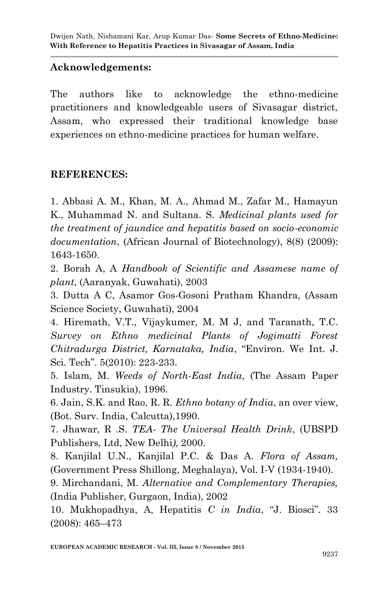#### **Acknowledgements:**

The authors like to acknowledge the ethno-medicine practitioners and knowledgeable users of Sivasagar district, Assam, who expressed their traditional knowledge base experiences on ethno-medicine practices for human welfare.

### **REFERENCES:**

1. Abbasi A. M., Khan, M. A., Ahmad M., Zafar M., Hamayun K., Muhammad N. and Sultana. S. *Medicinal plants used for the treatment of jaundice and hepatitis based on socio-economic documentation*, (African Journal of Biotechnology), 8(8) (2009): 1643-1650.

2. Borah A, A *Handbook of Scientific and Assamese name of plant*, (Aaranyak, Guwahati), 2003

3. Dutta A C, Asamor Gos-Gosoni Pratham Khandra, (Assam Science Society, Guwahati), 2004

4. Hiremath, V.T., Vijaykumer, M. M J, and Taranath, T.C. *Survey on Ethno medicinal Plants of Jogimatti Forest Chitradurga District, Karnataka, India*, "Environ. We Int. J. Sci. Tech". 5(2010): 223-233.

5. Islam, M. *Weeds of North-East India*, (The Assam Paper Industry. Tinsukia), 1996.

6. Jain, S.K. and Rao, R. R. *Ethno botany of India*, an over view, (Bot. Surv. India, Calcutta),1990.

7. Jhawar, R .S. *TEA- The Universal Health Drink*, (UBSPD Publishers, Ltd, New Delhi*),* 2000.

8. Kanjilal U.N., Kanjilal P.C. & Das A. *Flora of Assam,* (Government Press Shillong, Meghalaya), Vol. I-V (1934-1940).

9. Mirchandani, M. *Alternative and Complementary Therapies,* (India Publisher, Gurgaon, India), 2002

10. Mukhopadhya, A, Hepatitis *C in India*, "J. Biosci". 33 (2008): 465–473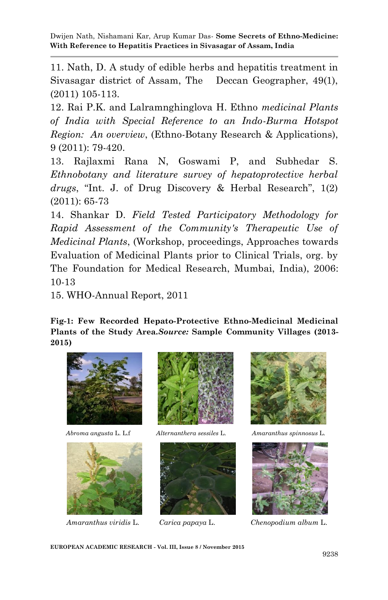11. Nath, D. A study of edible herbs and hepatitis treatment in Sivasagar district of Assam, The Deccan Geographer, 49(1), (2011) 105-113.

12. Rai P.K. and Lalramnghinglova H. Ethno *medicinal Plants of India with Special Reference to an Indo-Burma Hotspot Region: An overview*, (Ethno-Botany Research & Applications), 9 (2011): 79-420.

13. Rajlaxmi Rana N, Goswami P, and Subhedar S. *Ethnobotany and literature survey of hepatoprotective herbal drugs*, "Int. J. of Drug Discovery & Herbal Research", 1(2) (2011): 65-73

14. Shankar D. *Field Tested Participatory Methodology for Rapid Assessment of the Community's Therapeutic Use of Medicinal Plants*, (Workshop, proceedings, Approaches towards Evaluation of Medicinal Plants prior to Clinical Trials, org. by The Foundation for Medical Research, Mumbai, India), 2006: 10-13

15. WHO-Annual Report, 2011

**Fig-1: Few Recorded Hepato-Protective Ethno-Medicinal Medicinal Plants of the Study Area.***Source:* **Sample Community Villages (2013- 2015)**











 *Abroma angusta* L. L.f *Alternanthera sessiles* L. *Amaranthus spinnosus* L.



 *Amaranthus viridis* L. *Carica papaya* L. *Chenopodium album* L.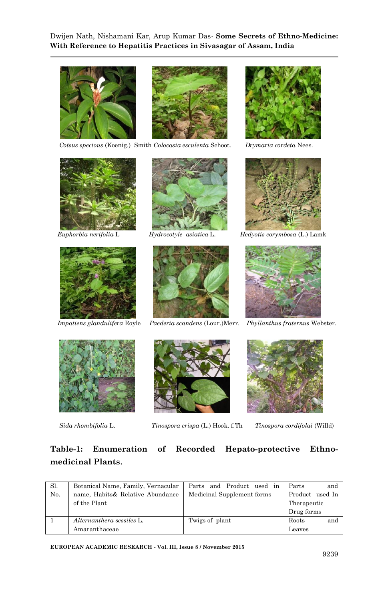

 *Cotsus specious* (Koenig.) Smith *Colocasia esculenta* Schoot. *Drymaria cordeta* Nees.











 *Impatiens glandulifera* Royle *Paederia scandens* (Lour.)Merr. *Phyllanthus fraternus* Webster.





 *Euphorbia nerifolia* L *Hydrocotyle asiatica* L. *Hedyotis corymbosa* (L.) Lamk







 *Sida rhombifolia* L. *Tinospora crispa* (L.) Hook. f.Th *Tinospora cordifolai* (Willd)



### **Table-1: Enumeration of Recorded Hepato-protective Ethnomedicinal Plants**.

| Sl. | Botanical Name, Family, Vernacular | Parts and Product used in  | Parts<br>and    |
|-----|------------------------------------|----------------------------|-----------------|
| No. | name, Habits& Relative Abundance   | Medicinal Supplement forms | Product used In |
|     | of the Plant                       |                            | Therapeutic     |
|     |                                    |                            | Drug forms      |
|     | Alternanthera sessiles L.          | Twigs of plant             | Roots<br>and    |
|     | Amaranthaceae                      |                            | Leaves          |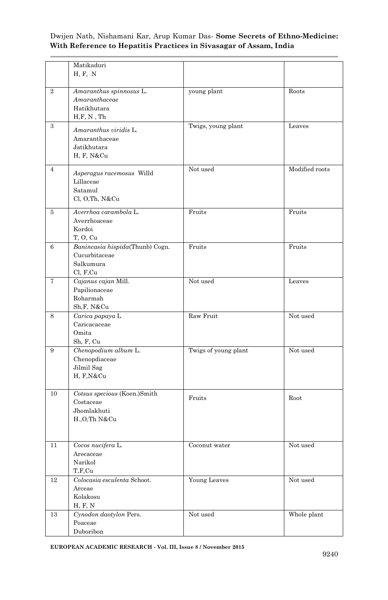|                | Matikaduri<br>H, F, N                                                      |                      |                |
|----------------|----------------------------------------------------------------------------|----------------------|----------------|
| $\overline{2}$ | Amaranthus spinnosus L.<br>Amaranthaceae<br>Hatikhutara<br>H, F, N, Th     | young plant          | Roots          |
| 3              | Amaranthus viridis L.<br>Amaranthaceae<br>Jatikhutara<br>H, F, N&Cu        | Twigs, young plant   | Leaves         |
| 4              | Asperagus racemosus Willd<br>Lillaceae<br>Satamul<br>Cl, O,Th, N&Cu        | Not used             | Modified roots |
| 5              | Averrhoa carambola L.<br>Averrhoaceae<br>Kordoi<br>T, O, Cu                | Fruits               | Fruits         |
| 6              | Banincasia hispida(Thunb) Cogn.<br>Cucurbitaceae<br>Salkumura<br>Cl, F,Cu  | Fruits               | Fruits         |
| 7              | Cajanus cajan Mill.<br>Papilionaceae<br>Roharmah<br>Sh, F, N&Cu            | Not used             | Leaves         |
| 8              | Carica papaya L<br>Caricacaceae<br>Omita<br>Sh, F, Cu                      | Raw Fruit            | Not used       |
| 9              | Chenopodium album L.<br>Chenopdiaceae<br>Jilmil Sag<br>H, F, N&Cu          | Twigs of young plant | Not used       |
| 10             | Cotsus specious (Koen.)Smith<br>Costaceae<br>Jhomlakhuti<br>H., O, Th N&Cu | Fruits               | Root           |
| 11             | Cocos nucifera L.<br>Arecaceae<br>Narikol<br>T,F,Cu                        | Coconut water        | Not used       |
| $12\,$         | Colocasia esculenta Schoot.<br>Arceae<br>Kolakosu<br>H, F, N               | Young Leaves         | Not used       |
| 13             | Cynodon daotylon Pers.<br>Poaceae<br>Duboribon                             | Not used             | Whole plant    |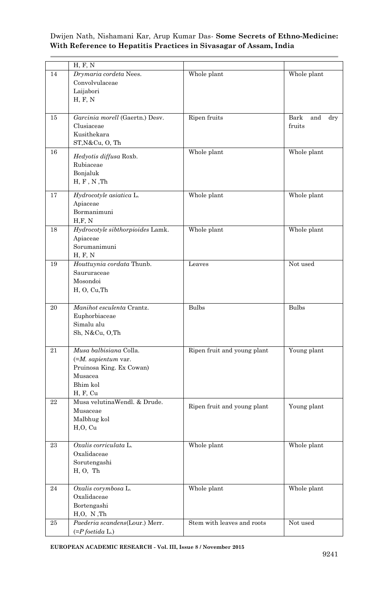|    | H, F, N                                     |                             |                           |
|----|---------------------------------------------|-----------------------------|---------------------------|
| 14 | Drymaria cordeta Nees.                      | Whole plant                 | Whole plant               |
|    | Convolvulaceae                              |                             |                           |
|    | Laijabori                                   |                             |                           |
|    | H, F, N                                     |                             |                           |
|    |                                             |                             |                           |
| 15 | Garcinia morell (Gaertn.) Desv.             | Ripen fruits                | Bark<br>and<br>$\rm{dry}$ |
|    | Clusiaceae                                  |                             | fruits                    |
|    | Kusithekara                                 |                             |                           |
|    |                                             |                             |                           |
|    | ST, N&Cu, O, Th                             |                             |                           |
| 16 | Hedyotis diffusa Roxb.                      | Whole plant                 | Whole plant               |
|    | Rubiaceae                                   |                             |                           |
|    | Bonjaluk                                    |                             |                           |
|    | H, F, N, Th                                 |                             |                           |
|    |                                             |                             |                           |
| 17 | Hydrocotyle asiatica L.                     | Whole plant                 | Whole plant               |
|    | Apiaceae                                    |                             |                           |
|    | Bormanimuni                                 |                             |                           |
| 18 | H, F, N<br>Hydrocotyle sibthorpioides Lamk. | Whole plant                 | Whole plant               |
|    | Apiaceae                                    |                             |                           |
|    |                                             |                             |                           |
|    | Sorumanimuni                                |                             |                           |
|    | H, F, N<br>Houttuynia cordata Thunb.        |                             | Not used                  |
| 19 |                                             | Leaves                      |                           |
|    | Saururaceae                                 |                             |                           |
|    | Mosondoi                                    |                             |                           |
|    | H, O, Cu, Th                                |                             |                           |
| 20 | Manihot esculenta Crantz.                   | <b>Bulbs</b>                | <b>Bulbs</b>              |
|    | Euphorbiaceae                               |                             |                           |
|    | Simalu alu                                  |                             |                           |
|    | Sh, N&Cu, O,Th                              |                             |                           |
|    |                                             |                             |                           |
| 21 | Musa balbisiana Colla.                      | Ripen fruit and young plant | Young plant               |
|    | $(=M.$ sapientum var.                       |                             |                           |
|    | Pruinosa King. Ex Cowan)                    |                             |                           |
|    | Musacea                                     |                             |                           |
|    | Bhim kol                                    |                             |                           |
|    | H, F, Cu                                    |                             |                           |
| 22 | Musa velutinaWendl. & Drude.                |                             |                           |
|    | Musaceae                                    | Ripen fruit and young plant | Young plant               |
|    | Malbhug kol                                 |                             |                           |
|    | H, O, Cu                                    |                             |                           |
|    |                                             |                             |                           |
| 23 | Oxalis corriculata L.                       | Whole plant                 | Whole plant               |
|    | Oxalidaceae                                 |                             |                           |
|    | Sorutengashi                                |                             |                           |
|    | H, O, Th                                    |                             |                           |
|    |                                             |                             |                           |
| 24 | Oxalis corymbosa L.                         | Whole plant                 | Whole plant               |
|    | Oxalidaceae                                 |                             |                           |
|    | Bortengashi                                 |                             |                           |
|    | $\rm H,O,\ N\ ,\rm Th$                      |                             |                           |
| 25 | Paederia scandens(Lour.) Merr.              | Stem with leaves and roots  | Not used                  |
|    | $(=Pfoetida L.)$                            |                             |                           |
|    |                                             |                             |                           |